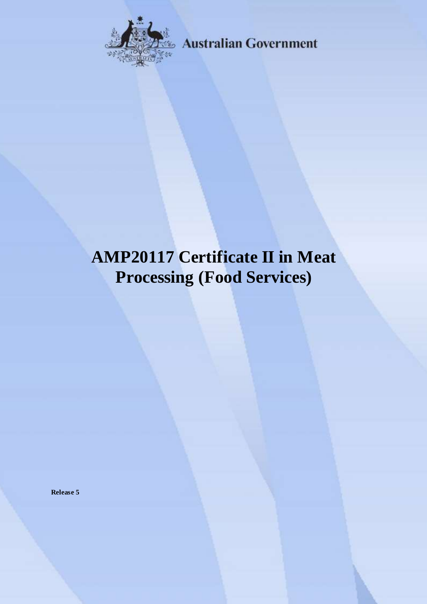

**Australian Government** 

# **AMP20117 Certificate II in Meat Processing (Food Services)**

**Release 5**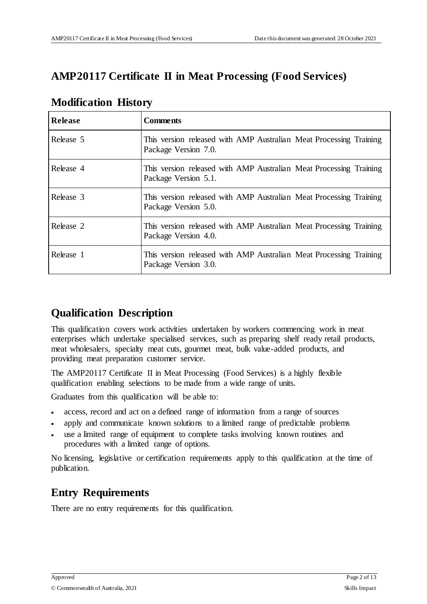# **AMP20117 Certificate II in Meat Processing (Food Services)**

| <b>Release</b> | <b>Comments</b>                                                                            |
|----------------|--------------------------------------------------------------------------------------------|
| Release 5      | This version released with AMP Australian Meat Processing Training<br>Package Version 7.0. |
| Release 4      | This version released with AMP Australian Meat Processing Training<br>Package Version 5.1. |
| Release 3      | This version released with AMP Australian Meat Processing Training<br>Package Version 5.0. |
| Release 2      | This version released with AMP Australian Meat Processing Training<br>Package Version 4.0. |
| Release 1      | This version released with AMP Australian Meat Processing Training<br>Package Version 3.0. |

## **Modification History**

# **Qualification Description**

This qualification covers work activities undertaken by workers commencing work in meat enterprises which undertake specialised services, such as preparing shelf ready retail products, meat wholesalers, specialty meat cuts, gourmet meat, bulk value-added products, and providing meat preparation customer service.

The AMP20117 Certificate II in Meat Processing (Food Services) is a highly flexible qualification enabling selections to be made from a wide range of units.

Graduates from this qualification will be able to:

- access, record and act on a defined range of information from a range of sources
- apply and communicate known solutions to a limited range of predictable problems
- use a limited range of equipment to complete tasks involving known routines and procedures with a limited range of options.

No licensing, legislative or certification requirements apply to this qualification at the time of publication.

# **Entry Requirements**

There are no entry requirements for this qualification.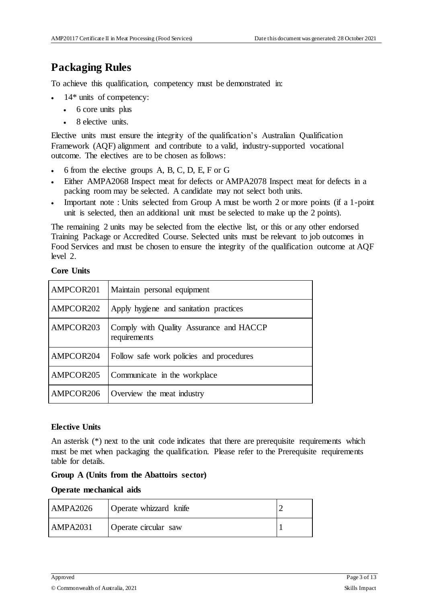# **Packaging Rules**

To achieve this qualification, competency must be demonstrated in:

- 14\* units of competency:
	- 6 core units plus
	- 8 elective units.

Elective units must ensure the integrity of the qualification's Australian Qualification Framework (AQF) alignment and contribute to a valid, industry-supported vocational outcome. The electives are to be chosen as follows:

- 6 from the elective groups A, B, C, D, E, F or G
- Either AMPA2068 Inspect meat for defects or AMPA2078 Inspect meat for defects in a packing room may be selected. A candidate may not select both units.
- Important note : Units selected from Group A must be worth 2 or more points (if a 1-point unit is selected, then an additional unit must be selected to make up the 2 points).

The remaining 2 units may be selected from the elective list, or this or any other endorsed Training Package or Accredited Course. Selected units must be relevant to job outcomes in Food Services and must be chosen to ensure the integrity of the qualification outcome at AQF level 2.

#### **Core Units**

| AMPCOR201 | Maintain personal equipment                             |
|-----------|---------------------------------------------------------|
| AMPCOR202 | Apply hygiene and sanitation practices                  |
| AMPCOR203 | Comply with Quality Assurance and HACCP<br>requirements |
| AMPCOR204 | Follow safe work policies and procedures                |
| AMPCOR205 | Communicate in the workplace                            |
| AMPCOR206 | Overview the meat industry                              |

#### **Elective Units**

An asterisk (\*) next to the unit code indicates that there are prerequisite requirements which must be met when packaging the qualification. Please refer to the Prerequisite requirements table for details.

#### **Group A (Units from the Abattoirs sector)**

#### **Operate mechanical aids**

| <b>AMPA2026</b> | Operate whizzard knife |  |
|-----------------|------------------------|--|
| <b>AMPA2031</b> | Operate circular saw   |  |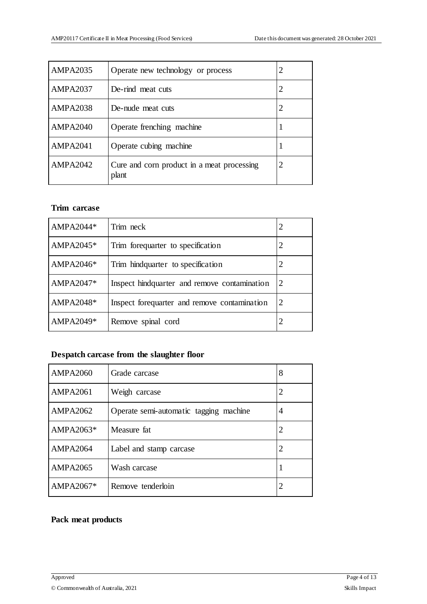| <b>AMPA2035</b> | Operate new technology or process                   |  |
|-----------------|-----------------------------------------------------|--|
| <b>AMPA2037</b> | De-rind meat cuts                                   |  |
| <b>AMPA2038</b> | De-nude meat cuts                                   |  |
| <b>AMPA2040</b> | Operate frenching machine                           |  |
| <b>AMPA2041</b> | Operate cubing machine                              |  |
| <b>AMPA2042</b> | Cure and corn product in a meat processing<br>plant |  |

#### **Trim carcase**

| AMPA2044*   | Trim neck                                     |   |
|-------------|-----------------------------------------------|---|
| AMPA2045*   | Trim forequarter to specification             |   |
| AMPA2046*   | Trim hindquarter to specification             | 2 |
| $AMPA2047*$ | Inspect hind quarter and remove contamination | 2 |
| AMPA2048*   | Inspect forequarter and remove contamination  | 2 |
| AMPA2049*   | Remove spinal cord                            |   |

## **Despatch carcase from the slaughter floor**

| <b>AMPA2060</b> | Grade carcase                          | 8 |
|-----------------|----------------------------------------|---|
| <b>AMPA2061</b> | Weigh carcase                          | 2 |
| <b>AMPA2062</b> | Operate semi-automatic tagging machine | 4 |
| AMPA2063*       | Measure fat                            |   |
| AMPA2064        | Label and stamp carcase                | 2 |
| <b>AMPA2065</b> | Wash carcase                           |   |
| AMPA2067*       | Remove tenderloin                      |   |

#### **Pack meat products**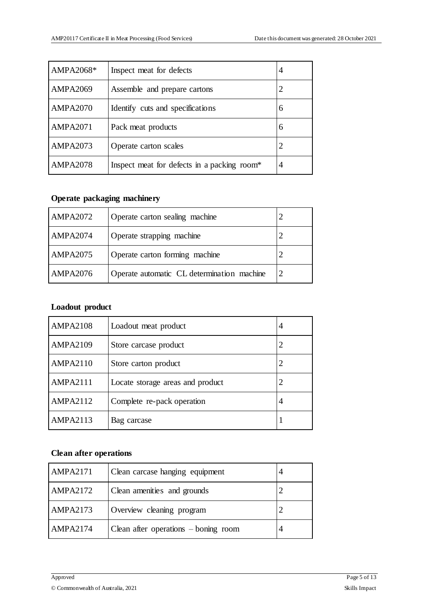| AMPA2068*       | Inspect meat for defects                    | 4 |
|-----------------|---------------------------------------------|---|
| <b>AMPA2069</b> | Assemble and prepare cartons                |   |
| <b>AMPA2070</b> | Identify cuts and specifications            | 6 |
| <b>AMPA2071</b> | Pack meat products                          | 6 |
| <b>AMPA2073</b> | Operate carton scales                       |   |
| <b>AMPA2078</b> | Inspect meat for defects in a packing room* | 4 |

#### **Operate packaging machinery**

| <b>AMPA2072</b> | Operate carton sealing machine             |  |
|-----------------|--------------------------------------------|--|
| <b>AMPA2074</b> | Operate strapping machine                  |  |
| <b>AMPA2075</b> | Operate carton forming machine             |  |
| <b>AMPA2076</b> | Operate automatic CL determination machine |  |

## **Loadout product**

| <b>AMPA2108</b> | Loadout meat product             | 4 |
|-----------------|----------------------------------|---|
| <b>AMPA2109</b> | Store carcase product            |   |
| <b>AMPA2110</b> | Store carton product             |   |
| <b>AMPA2111</b> | Locate storage areas and product |   |
| <b>AMPA2112</b> | Complete re-pack operation       | 4 |
| <b>AMPA2113</b> | Bag carcase                      |   |

#### **Clean after operations**

| <b>AMPA2171</b> | Clean carcase hanging equipment        |  |
|-----------------|----------------------------------------|--|
| <b>AMPA2172</b> | Clean amenities and grounds            |  |
| <b>AMPA2173</b> | Overview cleaning program              |  |
| <b>AMPA2174</b> | Clean after operations $-$ boning room |  |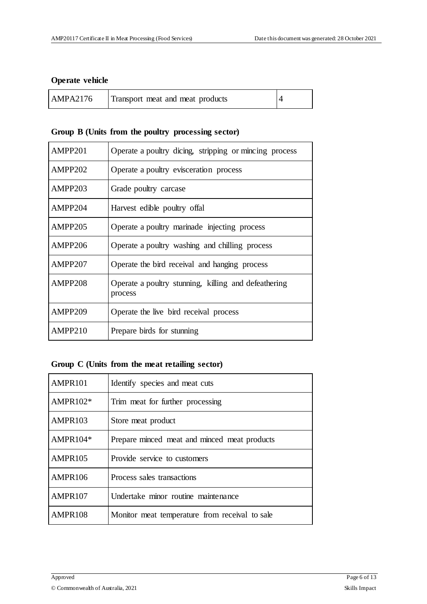#### **Operate vehicle**

| <b>AMPA2176</b> | Transport meat and meat products |  |
|-----------------|----------------------------------|--|
|-----------------|----------------------------------|--|

#### **Group B (Units from the poultry processing sector)**

| AMPP201 | Operate a poultry dicing, stripping or mincing process          |
|---------|-----------------------------------------------------------------|
| AMPP202 | Operate a poultry evisceration process                          |
| AMPP203 | Grade poultry carcase                                           |
| AMPP204 | Harvest edible poultry offal                                    |
| AMPP205 | Operate a poultry marinade injecting process                    |
| AMPP206 | Operate a poultry washing and chilling process                  |
| AMPP207 | Operate the bird receival and hanging process                   |
| AMPP208 | Operate a poultry stunning, killing and defeathering<br>process |
| AMPP209 | Operate the live bird receival process                          |
| AMPP210 | Prepare birds for stunning                                      |

## **Group C (Units from the meat retailing sector)**

| AMPR101    | Identify species and meat cuts                 |  |  |  |
|------------|------------------------------------------------|--|--|--|
| $AMPR102*$ | Trim meat for further processing               |  |  |  |
| AMPR103    | Store meat product                             |  |  |  |
| AMPR104*   | Prepare minced meat and minced meat products   |  |  |  |
| AMPR105    | Provide service to customers                   |  |  |  |
| AMPR106    | Process sales transactions                     |  |  |  |
| AMPR107    | Undertake minor routine maintenance            |  |  |  |
| AMPR108    | Monitor meat temperature from receival to sale |  |  |  |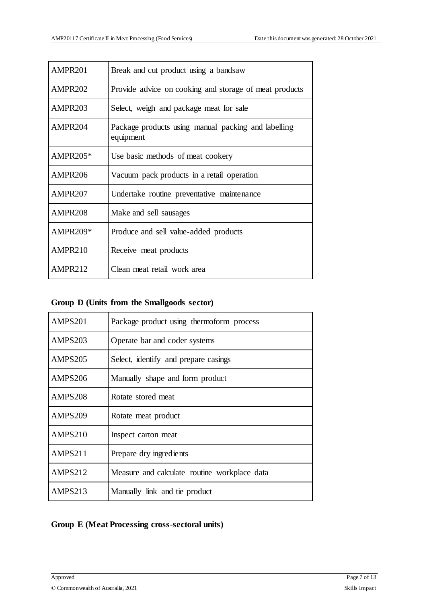| AMPR201         | Break and cut product using a bandsaw                            |  |  |  |
|-----------------|------------------------------------------------------------------|--|--|--|
| AMPR202         | Provide advice on cooking and storage of meat products           |  |  |  |
| AMPR203         | Select, weigh and package meat for sale                          |  |  |  |
| AMPR204         | Package products using manual packing and labelling<br>equipment |  |  |  |
| AMPR205*        | Use basic methods of meat cookery                                |  |  |  |
| AMPR206         | Vacuum pack products in a retail operation                       |  |  |  |
| AMPR207         | Undertake routine preventative maintenance                       |  |  |  |
| AMPR208         | Make and sell sausages                                           |  |  |  |
| <b>AMPR209*</b> | Produce and sell value-added products                            |  |  |  |
| AMPR210         | Receive meat products                                            |  |  |  |
| AMPR212         | Clean meat retail work area                                      |  |  |  |

## **Group D (Units from the Smallgoods sector)**

| AMPS201        | Package product using thermoform process     |  |  |  |
|----------------|----------------------------------------------|--|--|--|
| AMPS203        | Operate bar and coder systems                |  |  |  |
| AMPS205        | Select, identify and prepare casings         |  |  |  |
| AMPS206        | Manually shape and form product              |  |  |  |
| AMPS208        | Rotate stored meat                           |  |  |  |
| <b>AMPS209</b> | Rotate meat product                          |  |  |  |
| AMPS210        | Inspect carton meat                          |  |  |  |
| AMPS211        | Prepare dry ingredients                      |  |  |  |
| AMPS212        | Measure and calculate routine workplace data |  |  |  |
| AMPS213        | Manually link and tie product                |  |  |  |

## **Group E (Meat Processing cross-sectoral units)**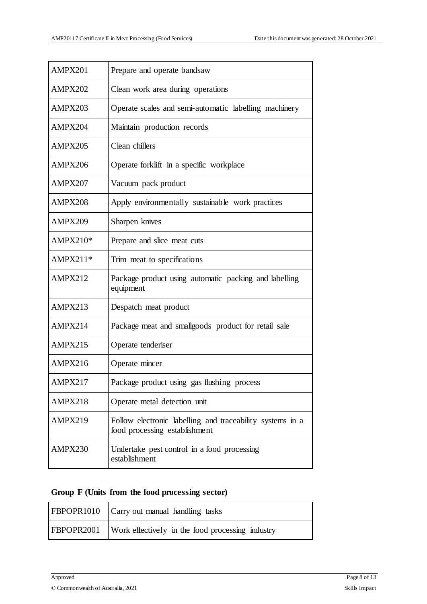| AMPX201    | Prepare and operate bandsaw                                                                |  |  |  |
|------------|--------------------------------------------------------------------------------------------|--|--|--|
| AMPX202    | Clean work area during operations                                                          |  |  |  |
| AMPX203    | Operate scales and semi-automatic labelling machinery                                      |  |  |  |
| AMPX204    | Maintain production records                                                                |  |  |  |
| AMPX205    | Clean chillers                                                                             |  |  |  |
| AMPX206    | Operate forklift in a specific workplace                                                   |  |  |  |
| AMPX207    | Vacuum pack product                                                                        |  |  |  |
| AMPX208    | Apply environmentally sustainable work practices                                           |  |  |  |
| AMPX209    | Sharpen knives                                                                             |  |  |  |
| AMPX210*   | Prepare and slice meat cuts                                                                |  |  |  |
| $AMPX211*$ | Trim meat to specifications                                                                |  |  |  |
| AMPX212    | Package product using automatic packing and labelling<br>equipment                         |  |  |  |
| AMPX213    | Despatch meat product                                                                      |  |  |  |
| AMPX214    | Package meat and smallgoods product for retail sale                                        |  |  |  |
| AMPX215    | Operate tenderiser                                                                         |  |  |  |
| AMPX216    | Operate mincer                                                                             |  |  |  |
| AMPX217    | Package product using gas flushing process                                                 |  |  |  |
| AMPX218    | Operate metal detection unit                                                               |  |  |  |
| AMPX219    | Follow electronic labelling and traceability systems in a<br>food processing establishment |  |  |  |
| AMPX230    | Undertake pest control in a food processing<br>establishment                               |  |  |  |

#### **Group F (Units from the food processing sector)**

| FBPOPR1010 Carry out manual handling tasks                  |
|-------------------------------------------------------------|
| FBPOPR2001 Work effectively in the food processing industry |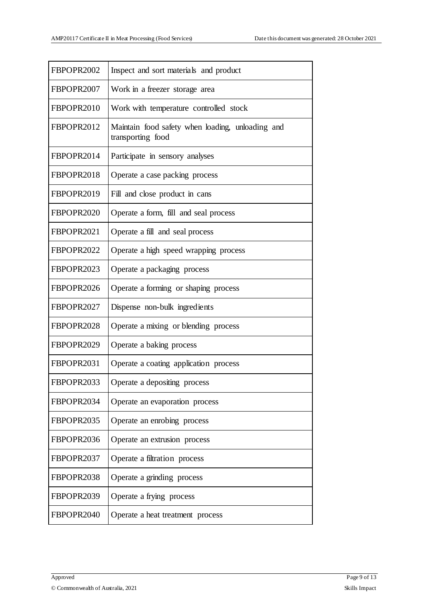| FBPOPR2002 | Inspect and sort materials and product                                |  |  |  |
|------------|-----------------------------------------------------------------------|--|--|--|
| FBPOPR2007 | Work in a freezer storage area                                        |  |  |  |
| FBPOPR2010 | Work with temperature controlled stock                                |  |  |  |
| FBPOPR2012 | Maintain food safety when loading, unloading and<br>transporting food |  |  |  |
| FBPOPR2014 | Participate in sensory analyses                                       |  |  |  |
| FBPOPR2018 | Operate a case packing process                                        |  |  |  |
| FBPOPR2019 | Fill and close product in cans                                        |  |  |  |
| FBPOPR2020 | Operate a form, fill and seal process                                 |  |  |  |
| FBPOPR2021 | Operate a fill and seal process                                       |  |  |  |
| FBPOPR2022 | Operate a high speed wrapping process                                 |  |  |  |
| FBPOPR2023 | Operate a packaging process                                           |  |  |  |
| FBPOPR2026 | Operate a forming or shaping process                                  |  |  |  |
| FBPOPR2027 | Dispense non-bulk ingredients                                         |  |  |  |
| FBPOPR2028 | Operate a mixing or blending process                                  |  |  |  |
| FBPOPR2029 | Operate a baking process                                              |  |  |  |
| FBPOPR2031 | Operate a coating application process                                 |  |  |  |
| FBPOPR2033 | Operate a depositing process                                          |  |  |  |
| FBPOPR2034 | Operate an evaporation process                                        |  |  |  |
| FBPOPR2035 | Operate an enrobing process                                           |  |  |  |
| FBPOPR2036 | Operate an extrusion process                                          |  |  |  |
| FBPOPR2037 | Operate a filtration process                                          |  |  |  |
| FBPOPR2038 | Operate a grinding process                                            |  |  |  |
| FBPOPR2039 | Operate a frying process                                              |  |  |  |
| FBPOPR2040 | Operate a heat treatment process                                      |  |  |  |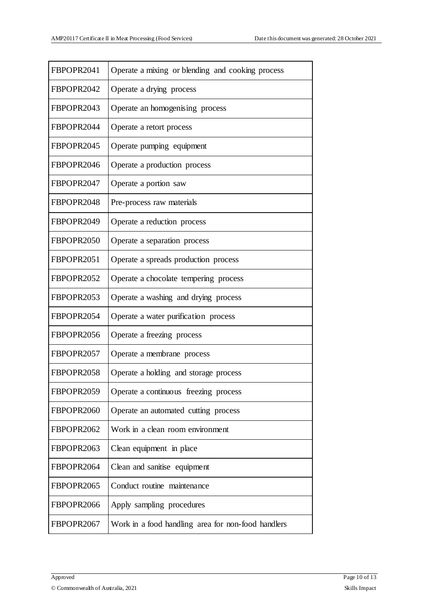| FBPOPR2041 | Operate a mixing or blending and cooking process   |
|------------|----------------------------------------------------|
| FBPOPR2042 | Operate a drying process                           |
| FBPOPR2043 | Operate an homogenising process                    |
| FBPOPR2044 | Operate a retort process                           |
| FBPOPR2045 | Operate pumping equipment                          |
| FBPOPR2046 | Operate a production process                       |
| FBPOPR2047 | Operate a portion saw                              |
| FBPOPR2048 | Pre-process raw materials                          |
| FBPOPR2049 | Operate a reduction process                        |
| FBPOPR2050 | Operate a separation process                       |
| FBPOPR2051 | Operate a spreads production process               |
| FBPOPR2052 | Operate a chocolate tempering process              |
| FBPOPR2053 | Operate a washing and drying process               |
| FBPOPR2054 | Operate a water purification process               |
| FBPOPR2056 | Operate a freezing process                         |
| FBPOPR2057 | Operate a membrane process                         |
| FBPOPR2058 | Operate a holding and storage process              |
| FBPOPR2059 | Operate a continuous freezing process              |
| FBPOPR2060 | Operate an automated cutting process               |
| FBPOPR2062 | Work in a clean room environment                   |
| FBPOPR2063 | Clean equipment in place                           |
| FBPOPR2064 | Clean and sanitise equipment                       |
| FBPOPR2065 | Conduct routine maintenance                        |
| FBPOPR2066 | Apply sampling procedures                          |
| FBPOPR2067 | Work in a food handling area for non-food handlers |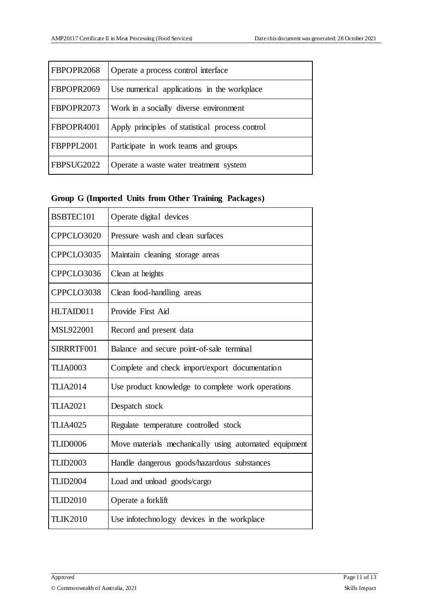| FBPOPR2068 | Operate a process control interface             |  |  |
|------------|-------------------------------------------------|--|--|
| FBPOPR2069 | Use numerical applications in the workplace     |  |  |
| FBPOPR2073 | Work in a socially diverse environment          |  |  |
| FBPOPR4001 | Apply principles of statistical process control |  |  |
| FBPPPL2001 | Participate in work teams and groups            |  |  |
| FBPSUG2022 | Operate a waste water treatment system          |  |  |

#### **Group G (Imported Units from Other Training Packages)**

| BSBTEC101       | Operate digital devices                               |  |  |  |
|-----------------|-------------------------------------------------------|--|--|--|
| CPPCLO3020      | Pressure wash and clean surfaces                      |  |  |  |
| CPPCLO3035      | Maintain cleaning storage areas                       |  |  |  |
| CPPCLO3036      | Clean at heights                                      |  |  |  |
| CPPCLO3038      | Clean food-handling areas                             |  |  |  |
| HLTAID011       | Provide First Aid                                     |  |  |  |
| MSL922001       | Record and present data                               |  |  |  |
| SIRRRTF001      | Balance and secure point-of-sale terminal             |  |  |  |
| <b>TLIA0003</b> | Complete and check import/export documentation        |  |  |  |
| <b>TLIA2014</b> | Use product knowledge to complete work operations     |  |  |  |
| <b>TLIA2021</b> | Despatch stock                                        |  |  |  |
| <b>TLIA4025</b> | Regulate temperature controlled stock                 |  |  |  |
| TLID0006        | Move materials mechanically using automated equipment |  |  |  |
| <b>TLID2003</b> | Handle dangerous goods/hazardous substances           |  |  |  |
| <b>TLID2004</b> | Load and unload goods/cargo                           |  |  |  |
| <b>TLID2010</b> | Operate a forklift                                    |  |  |  |
| <b>TLIK2010</b> | Use infotechnology devices in the workplace           |  |  |  |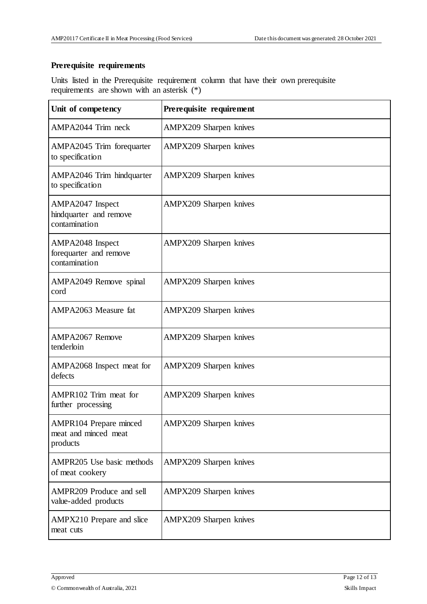#### **Prerequisite requirements**

Units listed in the Prerequisite requirement column that have their own prerequisite requirements are shown with an asterisk (\*)

| Unit of competency                                          | Prerequisite requirement |
|-------------------------------------------------------------|--------------------------|
| AMPA2044 Trim neck                                          | AMPX209 Sharpen knives   |
| AMPA2045 Trim forequarter<br>to specification               | AMPX209 Sharpen knives   |
| AMPA2046 Trim hindquarter<br>to specification               | AMPX209 Sharpen knives   |
| AMPA2047 Inspect<br>hindquarter and remove<br>contamination | AMPX209 Sharpen knives   |
| AMPA2048 Inspect<br>forequarter and remove<br>contamination | AMPX209 Sharpen knives   |
| AMPA2049 Remove spinal<br>cord                              | AMPX209 Sharpen knives   |
| AMPA2063 Measure fat                                        | AMPX209 Sharpen knives   |
| AMPA2067 Remove<br>tenderloin                               | AMPX209 Sharpen knives   |
| AMPA2068 Inspect meat for<br>defects                        | AMPX209 Sharpen knives   |
| AMPR102 Trim meat for<br>further processing                 | AMPX209 Sharpen knives   |
| AMPR104 Prepare minced<br>meat and minced meat<br>products  | AMPX209 Sharpen knives   |
| AMPR205 Use basic methods<br>of meat cookery                | AMPX209 Sharpen knives   |
| AMPR209 Produce and sell<br>value-added products            | AMPX209 Sharpen knives   |
| AMPX210 Prepare and slice<br>meat cuts                      | AMPX209 Sharpen knives   |